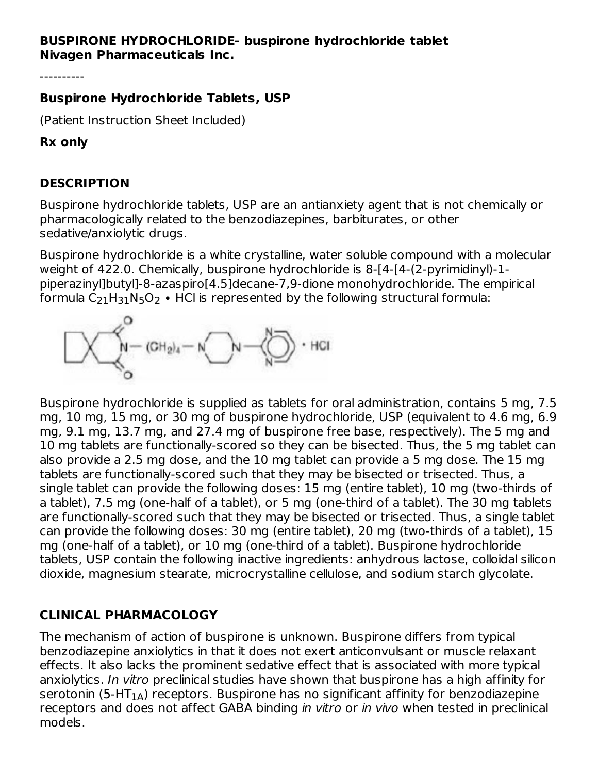## **BUSPIRONE HYDROCHLORIDE- buspirone hydrochloride tablet Nivagen Pharmaceuticals Inc.**

----------

### **Buspirone Hydrochloride Tablets, USP**

(Patient Instruction Sheet Included)

#### **Rx only**

### **DESCRIPTION**

Buspirone hydrochloride tablets, USP are an antianxiety agent that is not chemically or pharmacologically related to the benzodiazepines, barbiturates, or other sedative/anxiolytic drugs.

Buspirone hydrochloride is a white crystalline, water soluble compound with a molecular weight of 422.0. Chemically, buspirone hydrochloride is 8-[4-[4-(2-pyrimidinyl)-1 piperazinyl]butyl]-8-azaspiro[4.5]decane-7,9-dione monohydrochloride. The empirical formula C $_{21}$ H $_{31}$ N $_{5}$ O $_{2}$  • HCl is represented by the following structural formula:



Buspirone hydrochloride is supplied as tablets for oral administration, contains 5 mg, 7.5 mg, 10 mg, 15 mg, or 30 mg of buspirone hydrochloride, USP (equivalent to 4.6 mg, 6.9 mg, 9.1 mg, 13.7 mg, and 27.4 mg of buspirone free base, respectively). The 5 mg and 10 mg tablets are functionally-scored so they can be bisected. Thus, the 5 mg tablet can also provide a 2.5 mg dose, and the 10 mg tablet can provide a 5 mg dose. The 15 mg tablets are functionally-scored such that they may be bisected or trisected. Thus, a single tablet can provide the following doses: 15 mg (entire tablet), 10 mg (two-thirds of a tablet), 7.5 mg (one-half of a tablet), or 5 mg (one-third of a tablet). The 30 mg tablets are functionally-scored such that they may be bisected or trisected. Thus, a single tablet can provide the following doses: 30 mg (entire tablet), 20 mg (two-thirds of a tablet), 15 mg (one-half of a tablet), or 10 mg (one-third of a tablet). Buspirone hydrochloride tablets, USP contain the following inactive ingredients: anhydrous lactose, colloidal silicon dioxide, magnesium stearate, microcrystalline cellulose, and sodium starch glycolate.

# **CLINICAL PHARMACOLOGY**

The mechanism of action of buspirone is unknown. Buspirone differs from typical benzodiazepine anxiolytics in that it does not exert anticonvulsant or muscle relaxant effects. It also lacks the prominent sedative effect that is associated with more typical anxiolytics. In vitro preclinical studies have shown that buspirone has a high affinity for serotonin (5-HT $_{\rm 1A}$ ) receptors. Buspirone has no significant affinity for benzodiazepine receptors and does not affect GABA binding in vitro or in vivo when tested in preclinical models.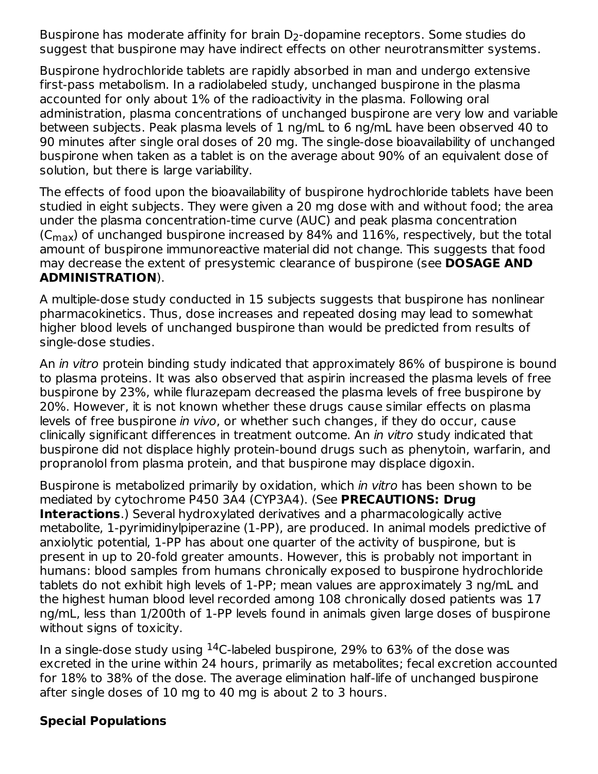Buspirone has moderate affinity for brain  $\mathsf{D}_2\text{-}\mathsf{dop}$ amine receptors. Some studies do suggest that buspirone may have indirect effects on other neurotransmitter systems.

Buspirone hydrochloride tablets are rapidly absorbed in man and undergo extensive first-pass metabolism. In a radiolabeled study, unchanged buspirone in the plasma accounted for only about 1% of the radioactivity in the plasma. Following oral administration, plasma concentrations of unchanged buspirone are very low and variable between subjects. Peak plasma levels of 1 ng/mL to 6 ng/mL have been observed 40 to 90 minutes after single oral doses of 20 mg. The single-dose bioavailability of unchanged buspirone when taken as a tablet is on the average about 90% of an equivalent dose of solution, but there is large variability.

The effects of food upon the bioavailability of buspirone hydrochloride tablets have been studied in eight subjects. They were given a 20 mg dose with and without food; the area under the plasma concentration-time curve (AUC) and peak plasma concentration (C $_{\rm max}$ ) of unchanged buspirone increased by 84% and 116%, respectively, but the total amount of buspirone immunoreactive material did not change. This suggests that food may decrease the extent of presystemic clearance of buspirone (see **DOSAGE AND ADMINISTRATION**).

A multiple-dose study conducted in 15 subjects suggests that buspirone has nonlinear pharmacokinetics. Thus, dose increases and repeated dosing may lead to somewhat higher blood levels of unchanged buspirone than would be predicted from results of single-dose studies.

An *in vitro* protein binding study indicated that approximately 86% of buspirone is bound to plasma proteins. It was also observed that aspirin increased the plasma levels of free buspirone by 23%, while flurazepam decreased the plasma levels of free buspirone by 20%. However, it is not known whether these drugs cause similar effects on plasma levels of free buspirone in vivo, or whether such changes, if they do occur, cause clinically significant differences in treatment outcome. An in vitro study indicated that buspirone did not displace highly protein-bound drugs such as phenytoin, warfarin, and propranolol from plasma protein, and that buspirone may displace digoxin.

Buspirone is metabolized primarily by oxidation, which in vitro has been shown to be mediated by cytochrome P450 3A4 (CYP3A4). (See **PRECAUTIONS: Drug Interactions**.) Several hydroxylated derivatives and a pharmacologically active metabolite, 1-pyrimidinylpiperazine (1-PP), are produced. In animal models predictive of anxiolytic potential, 1-PP has about one quarter of the activity of buspirone, but is present in up to 20-fold greater amounts. However, this is probably not important in humans: blood samples from humans chronically exposed to buspirone hydrochloride tablets do not exhibit high levels of 1-PP; mean values are approximately 3 ng/mL and the highest human blood level recorded among 108 chronically dosed patients was 17 ng/mL, less than 1/200th of 1-PP levels found in animals given large doses of buspirone without signs of toxicity.

In a single-dose study using  $^{14}$ C-labeled buspirone, 29% to 63% of the dose was excreted in the urine within 24 hours, primarily as metabolites; fecal excretion accounted for 18% to 38% of the dose. The average elimination half-life of unchanged buspirone after single doses of 10 mg to 40 mg is about 2 to 3 hours.

# **Special Populations**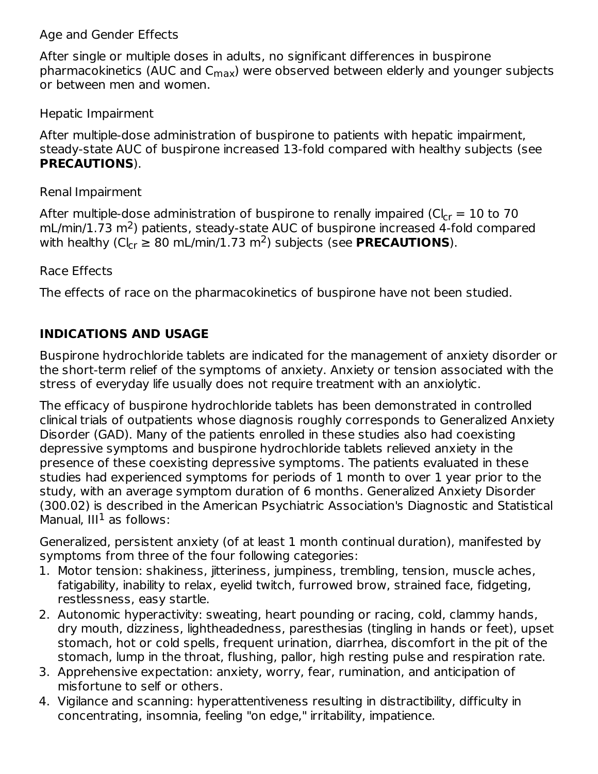## Age and Gender Effects

After single or multiple doses in adults, no significant differences in buspirone pharmacokinetics (AUC and C<sub>max</sub>) were observed between elderly and younger subjects or between men and women.

## Hepatic Impairment

After multiple-dose administration of buspirone to patients with hepatic impairment, steady-state AUC of buspirone increased 13-fold compared with healthy subjects (see **PRECAUTIONS**).

Renal Impairment

After multiple-dose administration of buspirone to renally impaired (Cl $_{\rm cr}$  = 10 to 70  $\,$  $mL/min/1.73 m<sup>2</sup>$ ) patients, steady-state AUC of buspirone increased 4-fold compared with healthy (Cl<sub>cr</sub>  $\geq 80$  mL/min/1.73 m<sup>2</sup>) subjects (see **PRECAUTIONS**).

## Race Effects

The effects of race on the pharmacokinetics of buspirone have not been studied.

# **INDICATIONS AND USAGE**

Buspirone hydrochloride tablets are indicated for the management of anxiety disorder or the short-term relief of the symptoms of anxiety. Anxiety or tension associated with the stress of everyday life usually does not require treatment with an anxiolytic.

The efficacy of buspirone hydrochloride tablets has been demonstrated in controlled clinical trials of outpatients whose diagnosis roughly corresponds to Generalized Anxiety Disorder (GAD). Many of the patients enrolled in these studies also had coexisting depressive symptoms and buspirone hydrochloride tablets relieved anxiety in the presence of these coexisting depressive symptoms. The patients evaluated in these studies had experienced symptoms for periods of 1 month to over 1 year prior to the study, with an average symptom duration of 6 months. Generalized Anxiety Disorder (300.02) is described in the American Psychiatric Association's Diagnostic and Statistical Manual,  $III<sup>1</sup>$  as follows:

Generalized, persistent anxiety (of at least 1 month continual duration), manifested by symptoms from three of the four following categories:

- 1. Motor tension: shakiness, jitteriness, jumpiness, trembling, tension, muscle aches, fatigability, inability to relax, eyelid twitch, furrowed brow, strained face, fidgeting, restlessness, easy startle.
- 2. Autonomic hyperactivity: sweating, heart pounding or racing, cold, clammy hands, dry mouth, dizziness, lightheadedness, paresthesias (tingling in hands or feet), upset stomach, hot or cold spells, frequent urination, diarrhea, discomfort in the pit of the stomach, lump in the throat, flushing, pallor, high resting pulse and respiration rate.
- 3. Apprehensive expectation: anxiety, worry, fear, rumination, and anticipation of misfortune to self or others.
- 4. Vigilance and scanning: hyperattentiveness resulting in distractibility, difficulty in concentrating, insomnia, feeling "on edge," irritability, impatience.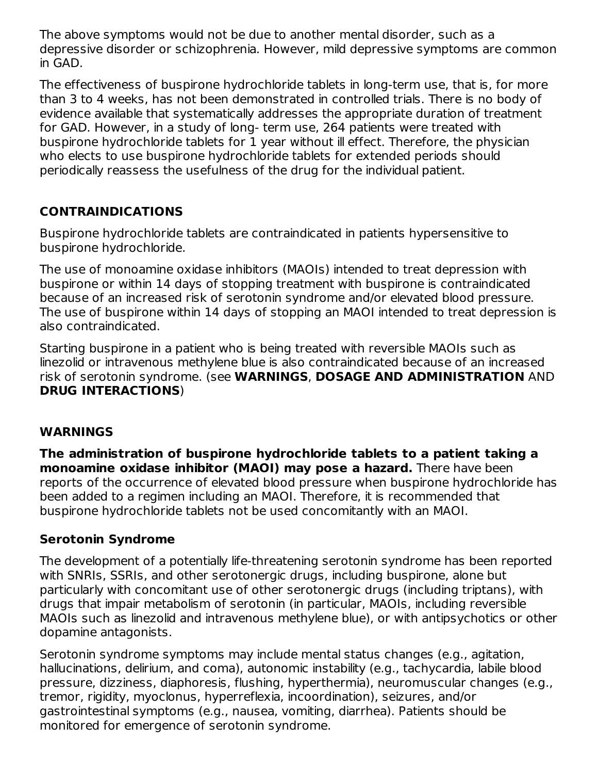The above symptoms would not be due to another mental disorder, such as a depressive disorder or schizophrenia. However, mild depressive symptoms are common in GAD.

The effectiveness of buspirone hydrochloride tablets in long-term use, that is, for more than 3 to 4 weeks, has not been demonstrated in controlled trials. There is no body of evidence available that systematically addresses the appropriate duration of treatment for GAD. However, in a study of long- term use, 264 patients were treated with buspirone hydrochloride tablets for 1 year without ill effect. Therefore, the physician who elects to use buspirone hydrochloride tablets for extended periods should periodically reassess the usefulness of the drug for the individual patient.

# **CONTRAINDICATIONS**

Buspirone hydrochloride tablets are contraindicated in patients hypersensitive to buspirone hydrochloride.

The use of monoamine oxidase inhibitors (MAOIs) intended to treat depression with buspirone or within 14 days of stopping treatment with buspirone is contraindicated because of an increased risk of serotonin syndrome and/or elevated blood pressure. The use of buspirone within 14 days of stopping an MAOI intended to treat depression is also contraindicated.

Starting buspirone in a patient who is being treated with reversible MAOIs such as linezolid or intravenous methylene blue is also contraindicated because of an increased risk of serotonin syndrome. (see **WARNINGS**, **DOSAGE AND ADMINISTRATION** AND **DRUG INTERACTIONS**)

# **WARNINGS**

**The administration of buspirone hydrochloride tablets to a patient taking a monoamine oxidase inhibitor (MAOI) may pose a hazard.** There have been reports of the occurrence of elevated blood pressure when buspirone hydrochloride has been added to a regimen including an MAOI. Therefore, it is recommended that buspirone hydrochloride tablets not be used concomitantly with an MAOI.

# **Serotonin Syndrome**

The development of a potentially life-threatening serotonin syndrome has been reported with SNRIs, SSRIs, and other serotonergic drugs, including buspirone, alone but particularly with concomitant use of other serotonergic drugs (including triptans), with drugs that impair metabolism of serotonin (in particular, MAOIs, including reversible MAOIs such as linezolid and intravenous methylene blue), or with antipsychotics or other dopamine antagonists.

Serotonin syndrome symptoms may include mental status changes (e.g., agitation, hallucinations, delirium, and coma), autonomic instability (e.g., tachycardia, labile blood pressure, dizziness, diaphoresis, flushing, hyperthermia), neuromuscular changes (e.g., tremor, rigidity, myoclonus, hyperreflexia, incoordination), seizures, and/or gastrointestinal symptoms (e.g., nausea, vomiting, diarrhea). Patients should be monitored for emergence of serotonin syndrome.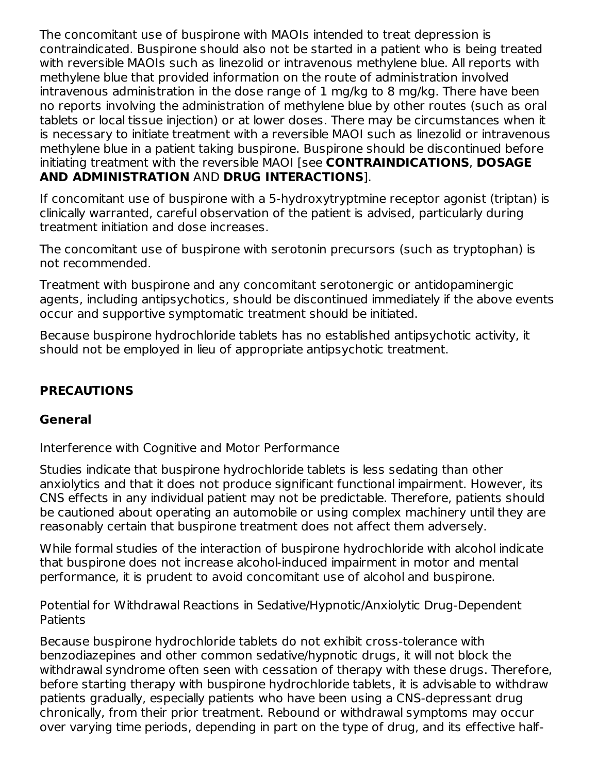The concomitant use of buspirone with MAOIs intended to treat depression is contraindicated. Buspirone should also not be started in a patient who is being treated with reversible MAOIs such as linezolid or intravenous methylene blue. All reports with methylene blue that provided information on the route of administration involved intravenous administration in the dose range of 1 mg/kg to 8 mg/kg. There have been no reports involving the administration of methylene blue by other routes (such as oral tablets or local tissue injection) or at lower doses. There may be circumstances when it is necessary to initiate treatment with a reversible MAOI such as linezolid or intravenous methylene blue in a patient taking buspirone. Buspirone should be discontinued before initiating treatment with the reversible MAOI [see **CONTRAINDICATIONS**, **DOSAGE AND ADMINISTRATION** AND **DRUG INTERACTIONS**].

If concomitant use of buspirone with a 5-hydroxytryptmine receptor agonist (triptan) is clinically warranted, careful observation of the patient is advised, particularly during treatment initiation and dose increases.

The concomitant use of buspirone with serotonin precursors (such as tryptophan) is not recommended.

Treatment with buspirone and any concomitant serotonergic or antidopaminergic agents, including antipsychotics, should be discontinued immediately if the above events occur and supportive symptomatic treatment should be initiated.

Because buspirone hydrochloride tablets has no established antipsychotic activity, it should not be employed in lieu of appropriate antipsychotic treatment.

# **PRECAUTIONS**

### **General**

Interference with Cognitive and Motor Performance

Studies indicate that buspirone hydrochloride tablets is less sedating than other anxiolytics and that it does not produce significant functional impairment. However, its CNS effects in any individual patient may not be predictable. Therefore, patients should be cautioned about operating an automobile or using complex machinery until they are reasonably certain that buspirone treatment does not affect them adversely.

While formal studies of the interaction of buspirone hydrochloride with alcohol indicate that buspirone does not increase alcohol-induced impairment in motor and mental performance, it is prudent to avoid concomitant use of alcohol and buspirone.

Potential for Withdrawal Reactions in Sedative/Hypnotic/Anxiolytic Drug-Dependent Patients

Because buspirone hydrochloride tablets do not exhibit cross-tolerance with benzodiazepines and other common sedative/hypnotic drugs, it will not block the withdrawal syndrome often seen with cessation of therapy with these drugs. Therefore, before starting therapy with buspirone hydrochloride tablets, it is advisable to withdraw patients gradually, especially patients who have been using a CNS-depressant drug chronically, from their prior treatment. Rebound or withdrawal symptoms may occur over varying time periods, depending in part on the type of drug, and its effective half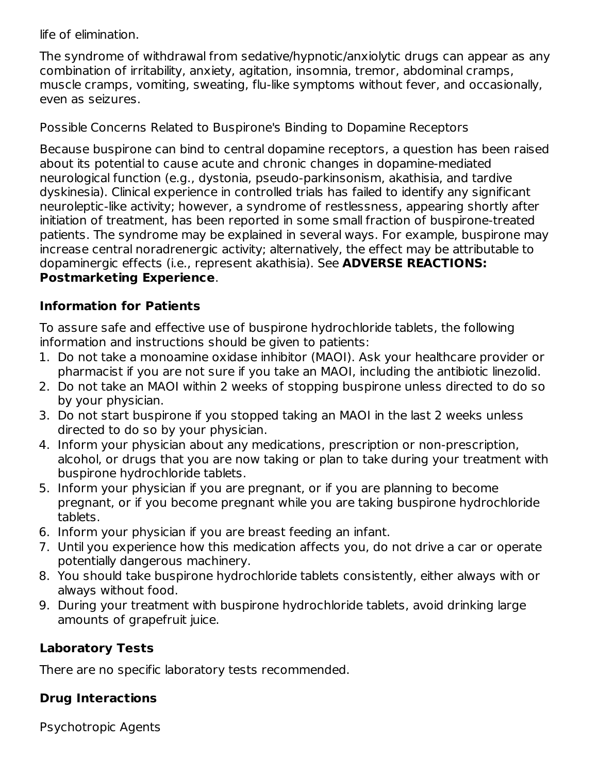life of elimination.

The syndrome of withdrawal from sedative/hypnotic/anxiolytic drugs can appear as any combination of irritability, anxiety, agitation, insomnia, tremor, abdominal cramps, muscle cramps, vomiting, sweating, flu-like symptoms without fever, and occasionally, even as seizures.

Possible Concerns Related to Buspirone's Binding to Dopamine Receptors

Because buspirone can bind to central dopamine receptors, a question has been raised about its potential to cause acute and chronic changes in dopamine-mediated neurological function (e.g., dystonia, pseudo-parkinsonism, akathisia, and tardive dyskinesia). Clinical experience in controlled trials has failed to identify any significant neuroleptic-like activity; however, a syndrome of restlessness, appearing shortly after initiation of treatment, has been reported in some small fraction of buspirone-treated patients. The syndrome may be explained in several ways. For example, buspirone may increase central noradrenergic activity; alternatively, the effect may be attributable to dopaminergic effects (i.e., represent akathisia). See **ADVERSE REACTIONS: Postmarketing Experience**.

# **Information for Patients**

To assure safe and effective use of buspirone hydrochloride tablets, the following information and instructions should be given to patients:

- 1. Do not take a monoamine oxidase inhibitor (MAOI). Ask your healthcare provider or pharmacist if you are not sure if you take an MAOI, including the antibiotic linezolid.
- 2. Do not take an MAOI within 2 weeks of stopping buspirone unless directed to do so by your physician.
- 3. Do not start buspirone if you stopped taking an MAOI in the last 2 weeks unless directed to do so by your physician.
- 4. Inform your physician about any medications, prescription or non-prescription, alcohol, or drugs that you are now taking or plan to take during your treatment with buspirone hydrochloride tablets.
- 5. Inform your physician if you are pregnant, or if you are planning to become pregnant, or if you become pregnant while you are taking buspirone hydrochloride tablets.
- 6. Inform your physician if you are breast feeding an infant.
- 7. Until you experience how this medication affects you, do not drive a car or operate potentially dangerous machinery.
- 8. You should take buspirone hydrochloride tablets consistently, either always with or always without food.
- 9. During your treatment with buspirone hydrochloride tablets, avoid drinking large amounts of grapefruit juice.

# **Laboratory Tests**

There are no specific laboratory tests recommended.

# **Drug Interactions**

Psychotropic Agents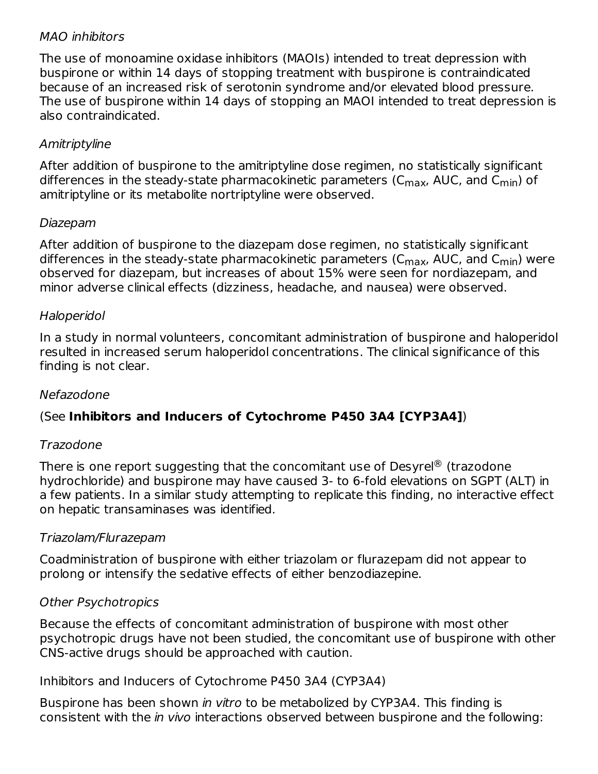## MAO inhibitors

The use of monoamine oxidase inhibitors (MAOIs) intended to treat depression with buspirone or within 14 days of stopping treatment with buspirone is contraindicated because of an increased risk of serotonin syndrome and/or elevated blood pressure. The use of buspirone within 14 days of stopping an MAOI intended to treat depression is also contraindicated.

# Amitriptyline

After addition of buspirone to the amitriptyline dose regimen, no statistically significant differences in the steady-state pharmacokinetic parameters (C<sub>max</sub>, AUC, and C<sub>min</sub>) of amitriptyline or its metabolite nortriptyline were observed.

### Diazepam

After addition of buspirone to the diazepam dose regimen, no statistically significant differences in the steady-state pharmacokinetic parameters (C<sub>max</sub>, AUC, and C<sub>min</sub>) were observed for diazepam, but increases of about 15% were seen for nordiazepam, and minor adverse clinical effects (dizziness, headache, and nausea) were observed.

### Haloperidol

In a study in normal volunteers, concomitant administration of buspirone and haloperidol resulted in increased serum haloperidol concentrations. The clinical significance of this finding is not clear.

### Nefazodone

# (See **Inhibitors and Inducers of Cytochrome P450 3A4 [CYP3A4]**)

### Trazodone

There is one report suggesting that the concomitant use of Desyrel $^\circledR$  (trazodone hydrochloride) and buspirone may have caused 3- to 6-fold elevations on SGPT (ALT) in a few patients. In a similar study attempting to replicate this finding, no interactive effect on hepatic transaminases was identified.

### Triazolam/Flurazepam

Coadministration of buspirone with either triazolam or flurazepam did not appear to prolong or intensify the sedative effects of either benzodiazepine.

### Other Psychotropics

Because the effects of concomitant administration of buspirone with most other psychotropic drugs have not been studied, the concomitant use of buspirone with other CNS-active drugs should be approached with caution.

Inhibitors and Inducers of Cytochrome P450 3A4 (CYP3A4)

Buspirone has been shown in vitro to be metabolized by CYP3A4. This finding is consistent with the in vivo interactions observed between buspirone and the following: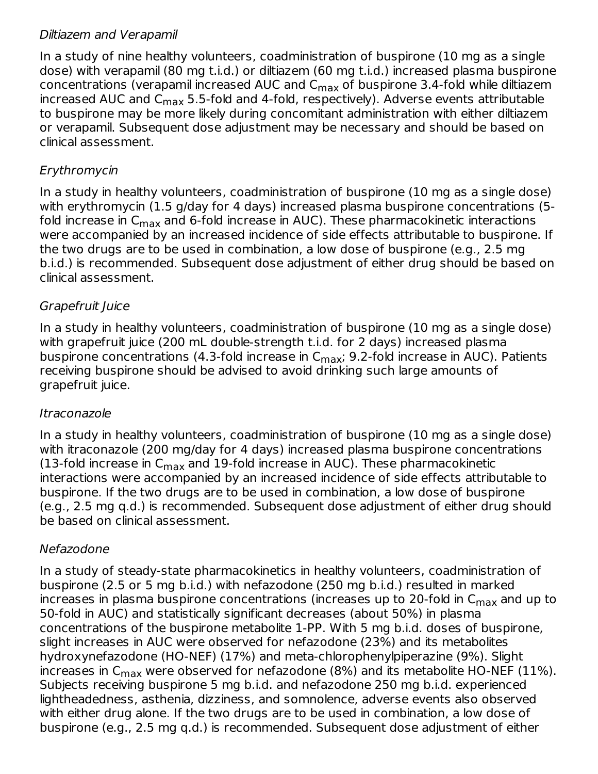## Diltiazem and Verapamil

In a study of nine healthy volunteers, coadministration of buspirone (10 mg as a single dose) with verapamil (80 mg t.i.d.) or diltiazem (60 mg t.i.d.) increased plasma buspirone concentrations (verapamil increased AUC and  $\mathsf{C}_{\mathsf{max}}$  of buspirone 3.4-fold while diltiazem increased AUC and C $_{\sf max}$  5.5-fold and 4-fold, respectively). Adverse events attributable to buspirone may be more likely during concomitant administration with either diltiazem or verapamil. Subsequent dose adjustment may be necessary and should be based on clinical assessment.

# Erythromycin

In a study in healthy volunteers, coadministration of buspirone (10 mg as a single dose) with erythromycin (1.5 g/day for 4 days) increased plasma buspirone concentrations (5 fold increase in C<sub>max</sub> and 6-fold increase in AUC). These pharmacokinetic interactions were accompanied by an increased incidence of side effects attributable to buspirone. If the two drugs are to be used in combination, a low dose of buspirone (e.g., 2.5 mg b.i.d.) is recommended. Subsequent dose adjustment of either drug should be based on clinical assessment.

# Grapefruit Juice

In a study in healthy volunteers, coadministration of buspirone (10 mg as a single dose) with grapefruit juice (200 mL double-strength t.i.d. for 2 days) increased plasma buspirone concentrations (4.3-fold increase in C<sub>max</sub>; 9.2-fold increase in AUC). Patients receiving buspirone should be advised to avoid drinking such large amounts of grapefruit juice.

# Itraconazole

In a study in healthy volunteers, coadministration of buspirone (10 mg as a single dose) with itraconazole (200 mg/day for 4 days) increased plasma buspirone concentrations (13-fold increase in  $\mathsf{C}_{\mathsf{max}}$  and 19-fold increase in AUC). These pharmacokinetic interactions were accompanied by an increased incidence of side effects attributable to buspirone. If the two drugs are to be used in combination, a low dose of buspirone (e.g., 2.5 mg q.d.) is recommended. Subsequent dose adjustment of either drug should be based on clinical assessment.

# Nefazodone

In a study of steady-state pharmacokinetics in healthy volunteers, coadministration of buspirone (2.5 or 5 mg b.i.d.) with nefazodone (250 mg b.i.d.) resulted in marked increases in plasma buspirone concentrations (increases up to 20-fold in  $\mathsf{C}_{\mathsf{max}}$  and up to 50-fold in AUC) and statistically significant decreases (about 50%) in plasma concentrations of the buspirone metabolite 1-PP. With 5 mg b.i.d. doses of buspirone, slight increases in AUC were observed for nefazodone (23%) and its metabolites hydroxynefazodone (HO-NEF) (17%) and meta-chlorophenylpiperazine (9%). Slight increases in C<sub>max</sub> were observed for nefazodone (8%) and its metabolite HO-NEF (11%). Subjects receiving buspirone 5 mg b.i.d. and nefazodone 250 mg b.i.d. experienced lightheadedness, asthenia, dizziness, and somnolence, adverse events also observed with either drug alone. If the two drugs are to be used in combination, a low dose of buspirone (e.g., 2.5 mg q.d.) is recommended. Subsequent dose adjustment of either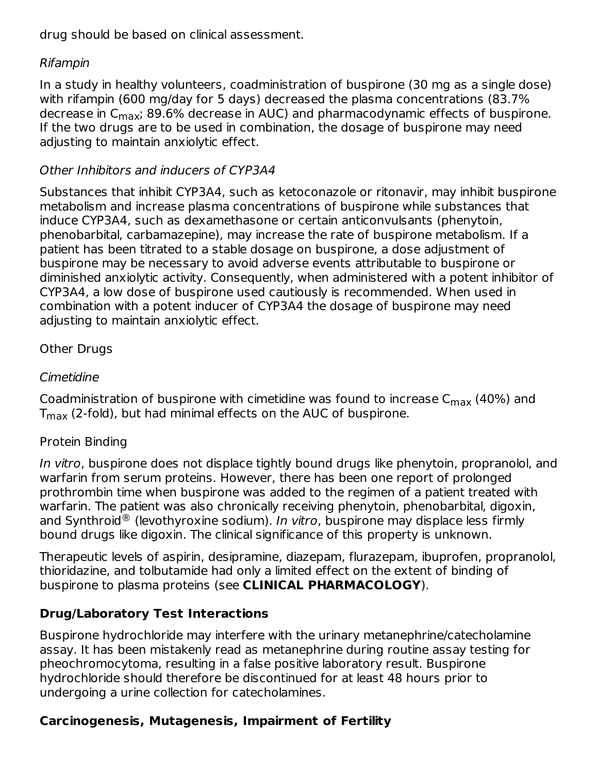drug should be based on clinical assessment.

# Rifampin

In a study in healthy volunteers, coadministration of buspirone (30 mg as a single dose) with rifampin (600 mg/day for 5 days) decreased the plasma concentrations (83.7% decrease in C<sub>max</sub>; 89.6% decrease in AUC) and pharmacodynamic effects of buspirone. If the two drugs are to be used in combination, the dosage of buspirone may need adjusting to maintain anxiolytic effect.

# Other Inhibitors and inducers of CYP3A4

Substances that inhibit CYP3A4, such as ketoconazole or ritonavir, may inhibit buspirone metabolism and increase plasma concentrations of buspirone while substances that induce CYP3A4, such as dexamethasone or certain anticonvulsants (phenytoin, phenobarbital, carbamazepine), may increase the rate of buspirone metabolism. If a patient has been titrated to a stable dosage on buspirone, a dose adjustment of buspirone may be necessary to avoid adverse events attributable to buspirone or diminished anxiolytic activity. Consequently, when administered with a potent inhibitor of CYP3A4, a low dose of buspirone used cautiously is recommended. When used in combination with a potent inducer of CYP3A4 the dosage of buspirone may need adjusting to maintain anxiolytic effect.

# Other Drugs

# Cimetidine

Coadministration of buspirone with cimetidine was found to increase  $\mathsf{C}_{\mathsf{max}}$  (40%) and  ${\sf T}_{\sf max}$  (2-fold), but had minimal effects on the AUC of buspirone.

# Protein Binding

In vitro, buspirone does not displace tightly bound drugs like phenytoin, propranolol, and warfarin from serum proteins. However, there has been one report of prolonged prothrombin time when buspirone was added to the regimen of a patient treated with warfarin. The patient was also chronically receiving phenytoin, phenobarbital, digoxin, and Synthroid  $^\circledR$  (levothyroxine sodium). In vitro, buspirone may displace less firmly bound drugs like digoxin. The clinical significance of this property is unknown.

Therapeutic levels of aspirin, desipramine, diazepam, flurazepam, ibuprofen, propranolol, thioridazine, and tolbutamide had only a limited effect on the extent of binding of buspirone to plasma proteins (see **CLINICAL PHARMACOLOGY**).

# **Drug/Laboratory Test Interactions**

Buspirone hydrochloride may interfere with the urinary metanephrine/catecholamine assay. It has been mistakenly read as metanephrine during routine assay testing for pheochromocytoma, resulting in a false positive laboratory result. Buspirone hydrochloride should therefore be discontinued for at least 48 hours prior to undergoing a urine collection for catecholamines.

# **Carcinogenesis, Mutagenesis, Impairment of Fertility**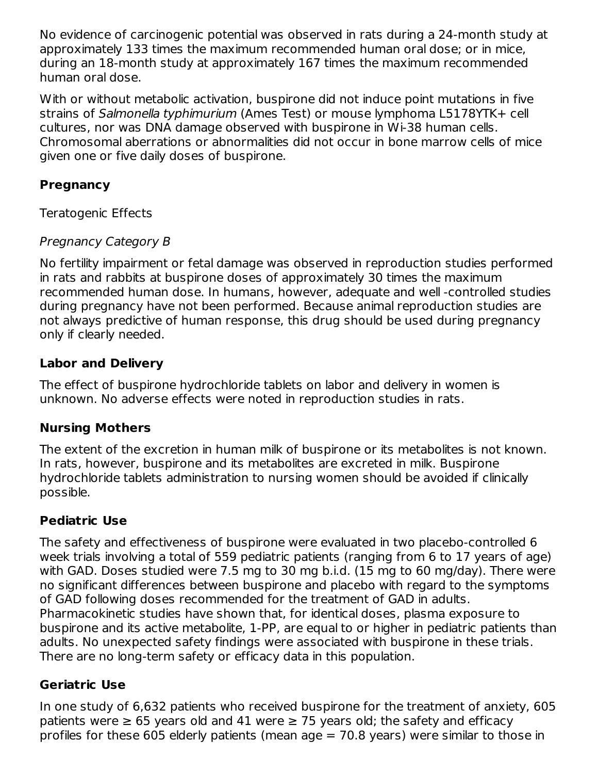No evidence of carcinogenic potential was observed in rats during a 24-month study at approximately 133 times the maximum recommended human oral dose; or in mice, during an 18-month study at approximately 167 times the maximum recommended human oral dose.

With or without metabolic activation, buspirone did not induce point mutations in five strains of Salmonella typhimurium (Ames Test) or mouse lymphoma L5178YTK+ cell cultures, nor was DNA damage observed with buspirone in Wi-38 human cells. Chromosomal aberrations or abnormalities did not occur in bone marrow cells of mice given one or five daily doses of buspirone.

# **Pregnancy**

Teratogenic Effects

# Pregnancy Category B

No fertility impairment or fetal damage was observed in reproduction studies performed in rats and rabbits at buspirone doses of approximately 30 times the maximum recommended human dose. In humans, however, adequate and well -controlled studies during pregnancy have not been performed. Because animal reproduction studies are not always predictive of human response, this drug should be used during pregnancy only if clearly needed.

# **Labor and Delivery**

The effect of buspirone hydrochloride tablets on labor and delivery in women is unknown. No adverse effects were noted in reproduction studies in rats.

# **Nursing Mothers**

The extent of the excretion in human milk of buspirone or its metabolites is not known. In rats, however, buspirone and its metabolites are excreted in milk. Buspirone hydrochloride tablets administration to nursing women should be avoided if clinically possible.

# **Pediatric Use**

The safety and effectiveness of buspirone were evaluated in two placebo-controlled 6 week trials involving a total of 559 pediatric patients (ranging from 6 to 17 years of age) with GAD. Doses studied were 7.5 mg to 30 mg b.i.d. (15 mg to 60 mg/day). There were no significant differences between buspirone and placebo with regard to the symptoms of GAD following doses recommended for the treatment of GAD in adults. Pharmacokinetic studies have shown that, for identical doses, plasma exposure to buspirone and its active metabolite, 1-PP, are equal to or higher in pediatric patients than adults. No unexpected safety findings were associated with buspirone in these trials. There are no long-term safety or efficacy data in this population.

# **Geriatric Use**

In one study of 6,632 patients who received buspirone for the treatment of anxiety, 605 patients were  $\geq 65$  years old and 41 were  $\geq 75$  years old; the safety and efficacy profiles for these 605 elderly patients (mean age  $= 70.8$  years) were similar to those in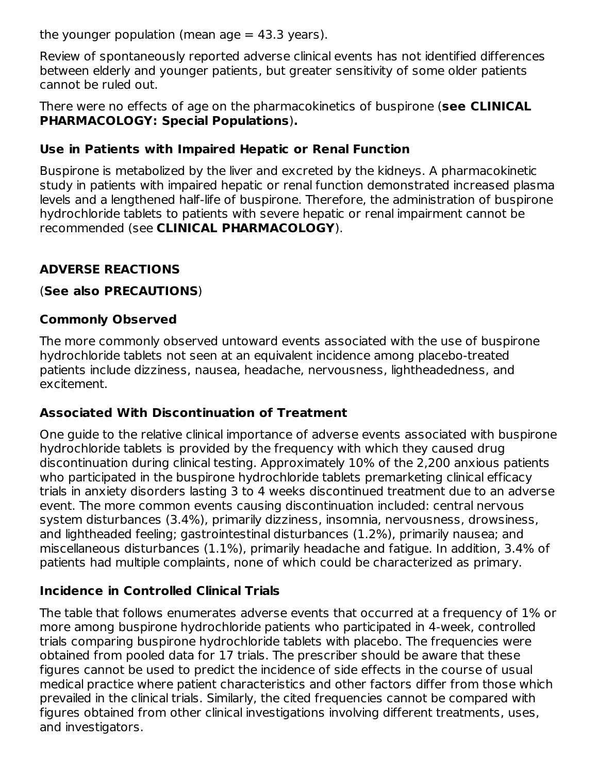the younger population (mean age  $= 43.3$  years).

Review of spontaneously reported adverse clinical events has not identified differences between elderly and younger patients, but greater sensitivity of some older patients cannot be ruled out.

There were no effects of age on the pharmacokinetics of buspirone (**see CLINICAL PHARMACOLOGY: Special Populations**)**.**

# **Use in Patients with Impaired Hepatic or Renal Function**

Buspirone is metabolized by the liver and excreted by the kidneys. A pharmacokinetic study in patients with impaired hepatic or renal function demonstrated increased plasma levels and a lengthened half-life of buspirone. Therefore, the administration of buspirone hydrochloride tablets to patients with severe hepatic or renal impairment cannot be recommended (see **CLINICAL PHARMACOLOGY**).

# **ADVERSE REACTIONS**

## (**See also PRECAUTIONS**)

# **Commonly Observed**

The more commonly observed untoward events associated with the use of buspirone hydrochloride tablets not seen at an equivalent incidence among placebo-treated patients include dizziness, nausea, headache, nervousness, lightheadedness, and excitement.

# **Associated With Discontinuation of Treatment**

One guide to the relative clinical importance of adverse events associated with buspirone hydrochloride tablets is provided by the frequency with which they caused drug discontinuation during clinical testing. Approximately 10% of the 2,200 anxious patients who participated in the buspirone hydrochloride tablets premarketing clinical efficacy trials in anxiety disorders lasting 3 to 4 weeks discontinued treatment due to an adverse event. The more common events causing discontinuation included: central nervous system disturbances (3.4%), primarily dizziness, insomnia, nervousness, drowsiness, and lightheaded feeling; gastrointestinal disturbances (1.2%), primarily nausea; and miscellaneous disturbances (1.1%), primarily headache and fatigue. In addition, 3.4% of patients had multiple complaints, none of which could be characterized as primary.

# **Incidence in Controlled Clinical Trials**

The table that follows enumerates adverse events that occurred at a frequency of 1% or more among buspirone hydrochloride patients who participated in 4-week, controlled trials comparing buspirone hydrochloride tablets with placebo. The frequencies were obtained from pooled data for 17 trials. The prescriber should be aware that these figures cannot be used to predict the incidence of side effects in the course of usual medical practice where patient characteristics and other factors differ from those which prevailed in the clinical trials. Similarly, the cited frequencies cannot be compared with figures obtained from other clinical investigations involving different treatments, uses, and investigators.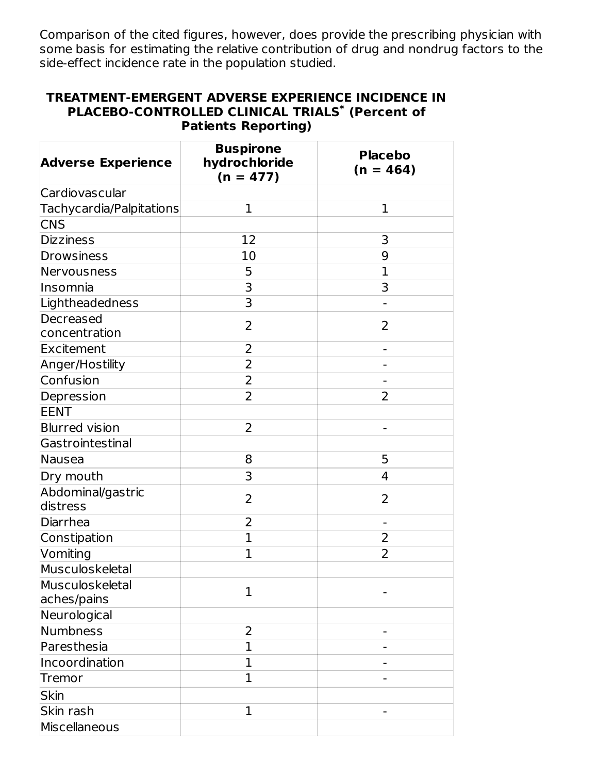Comparison of the cited figures, however, does provide the prescribing physician with some basis for estimating the relative contribution of drug and nondrug factors to the side-effect incidence rate in the population studied.

#### **TREATMENT-EMERGENT ADVERSE EXPERIENCE INCIDENCE IN PLACEBO-CONTROLLED CLINICAL TRIALS (Percent of \*Patients Reporting)**

| <b>Adverse Experience</b>      | <b>Buspirone</b><br>hydrochloride<br>$(n = 477)$ | <b>Placebo</b><br>$(n = 464)$ |  |  |
|--------------------------------|--------------------------------------------------|-------------------------------|--|--|
| Cardiovascular                 |                                                  |                               |  |  |
| Tachycardia/Palpitations       | 1                                                | $\mathbf{1}$                  |  |  |
| <b>CNS</b>                     |                                                  |                               |  |  |
| <b>Dizziness</b>               | 12                                               | 3                             |  |  |
| Drowsiness                     | 10                                               | 9                             |  |  |
| Nervousness                    | 5                                                | 1                             |  |  |
| Insomnia                       | 3                                                | 3                             |  |  |
| Lightheadedness                | 3                                                |                               |  |  |
| Decreased<br>concentration     | 2                                                | 2                             |  |  |
| Excitement                     | 2                                                |                               |  |  |
| Anger/Hostility                | 2                                                |                               |  |  |
| Confusion                      | $\overline{2}$                                   |                               |  |  |
| Depression                     | $\overline{2}$                                   | 2                             |  |  |
| <b>EENT</b>                    |                                                  |                               |  |  |
| <b>Blurred vision</b>          | $\overline{2}$                                   |                               |  |  |
| Gastrointestinal               |                                                  |                               |  |  |
| Nausea                         | 8                                                | 5                             |  |  |
| Dry mouth                      | 3                                                | 4                             |  |  |
| Abdominal/gastric<br>distress  | 2                                                | $\overline{2}$                |  |  |
| Diarrhea                       | 2                                                |                               |  |  |
| Constipation                   | $\mathbf{1}$                                     | 2                             |  |  |
| Vomiting                       | $\mathbf{1}$                                     | 2                             |  |  |
| Musculoskeletal                |                                                  |                               |  |  |
| Musculoskeletal<br>aches/pains | 1                                                |                               |  |  |
| Neurological                   |                                                  |                               |  |  |
| Numbness                       | 2                                                |                               |  |  |
| Paresthesia                    | $\mathbf{1}$                                     |                               |  |  |
| Incoordination                 | $\mathbf{1}$                                     |                               |  |  |
| <b>Tremor</b>                  | $\mathbf{1}$                                     |                               |  |  |
| <b>Skin</b>                    |                                                  |                               |  |  |
| Skin rash                      | $\mathbf{1}$                                     |                               |  |  |
| Miscellaneous                  |                                                  |                               |  |  |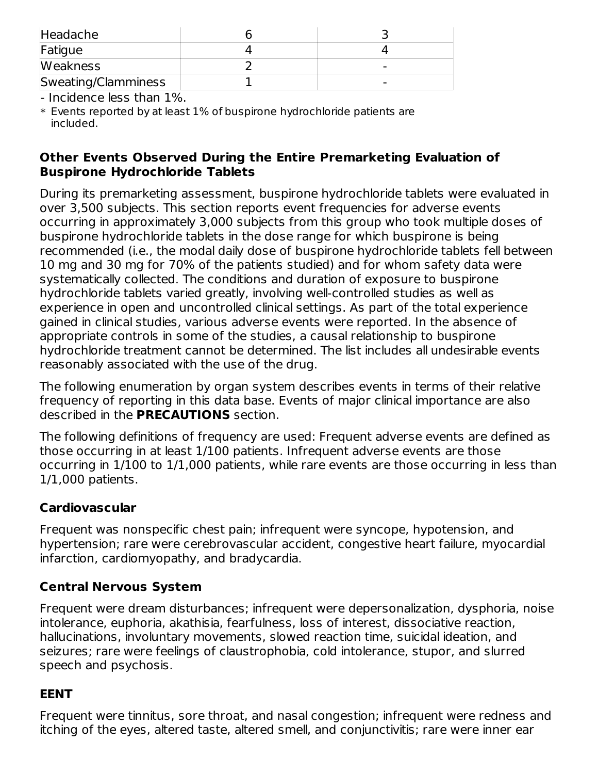| Headache            |  |
|---------------------|--|
| Fatigue             |  |
| <b>Weakness</b>     |  |
| Sweating/Clamminess |  |

- Incidence less than 1%.

\* Events reported by at least 1% of buspirone hydrochloride patients are included.

### **Other Events Observed During the Entire Premarketing Evaluation of Buspirone Hydrochloride Tablets**

During its premarketing assessment, buspirone hydrochloride tablets were evaluated in over 3,500 subjects. This section reports event frequencies for adverse events occurring in approximately 3,000 subjects from this group who took multiple doses of buspirone hydrochloride tablets in the dose range for which buspirone is being recommended (i.e., the modal daily dose of buspirone hydrochloride tablets fell between 10 mg and 30 mg for 70% of the patients studied) and for whom safety data were systematically collected. The conditions and duration of exposure to buspirone hydrochloride tablets varied greatly, involving well-controlled studies as well as experience in open and uncontrolled clinical settings. As part of the total experience gained in clinical studies, various adverse events were reported. In the absence of appropriate controls in some of the studies, a causal relationship to buspirone hydrochloride treatment cannot be determined. The list includes all undesirable events reasonably associated with the use of the drug.

The following enumeration by organ system describes events in terms of their relative frequency of reporting in this data base. Events of major clinical importance are also described in the **PRECAUTIONS** section.

The following definitions of frequency are used: Frequent adverse events are defined as those occurring in at least 1/100 patients. Infrequent adverse events are those occurring in 1/100 to 1/1,000 patients, while rare events are those occurring in less than 1/1,000 patients.

# **Cardiovascular**

Frequent was nonspecific chest pain; infrequent were syncope, hypotension, and hypertension; rare were cerebrovascular accident, congestive heart failure, myocardial infarction, cardiomyopathy, and bradycardia.

# **Central Nervous System**

Frequent were dream disturbances; infrequent were depersonalization, dysphoria, noise intolerance, euphoria, akathisia, fearfulness, loss of interest, dissociative reaction, hallucinations, involuntary movements, slowed reaction time, suicidal ideation, and seizures; rare were feelings of claustrophobia, cold intolerance, stupor, and slurred speech and psychosis.

### **EENT**

Frequent were tinnitus, sore throat, and nasal congestion; infrequent were redness and itching of the eyes, altered taste, altered smell, and conjunctivitis; rare were inner ear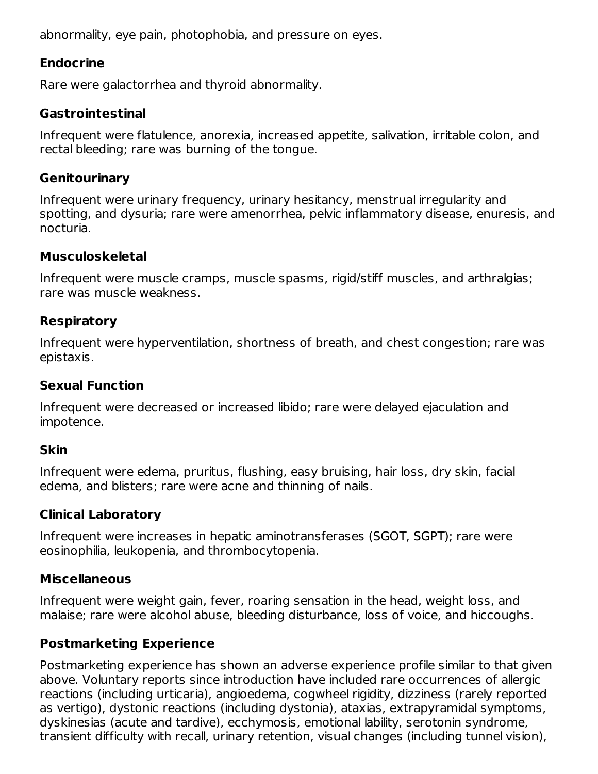abnormality, eye pain, photophobia, and pressure on eyes.

## **Endocrine**

Rare were galactorrhea and thyroid abnormality.

### **Gastrointestinal**

Infrequent were flatulence, anorexia, increased appetite, salivation, irritable colon, and rectal bleeding; rare was burning of the tongue.

### **Genitourinary**

Infrequent were urinary frequency, urinary hesitancy, menstrual irregularity and spotting, and dysuria; rare were amenorrhea, pelvic inflammatory disease, enuresis, and nocturia.

### **Musculoskeletal**

Infrequent were muscle cramps, muscle spasms, rigid/stiff muscles, and arthralgias; rare was muscle weakness.

### **Respiratory**

Infrequent were hyperventilation, shortness of breath, and chest congestion; rare was epistaxis.

## **Sexual Function**

Infrequent were decreased or increased libido; rare were delayed ejaculation and impotence.

### **Skin**

Infrequent were edema, pruritus, flushing, easy bruising, hair loss, dry skin, facial edema, and blisters; rare were acne and thinning of nails.

# **Clinical Laboratory**

Infrequent were increases in hepatic aminotransferases (SGOT, SGPT); rare were eosinophilia, leukopenia, and thrombocytopenia.

### **Miscellaneous**

Infrequent were weight gain, fever, roaring sensation in the head, weight loss, and malaise; rare were alcohol abuse, bleeding disturbance, loss of voice, and hiccoughs.

# **Postmarketing Experience**

Postmarketing experience has shown an adverse experience profile similar to that given above. Voluntary reports since introduction have included rare occurrences of allergic reactions (including urticaria), angioedema, cogwheel rigidity, dizziness (rarely reported as vertigo), dystonic reactions (including dystonia), ataxias, extrapyramidal symptoms, dyskinesias (acute and tardive), ecchymosis, emotional lability, serotonin syndrome, transient difficulty with recall, urinary retention, visual changes (including tunnel vision),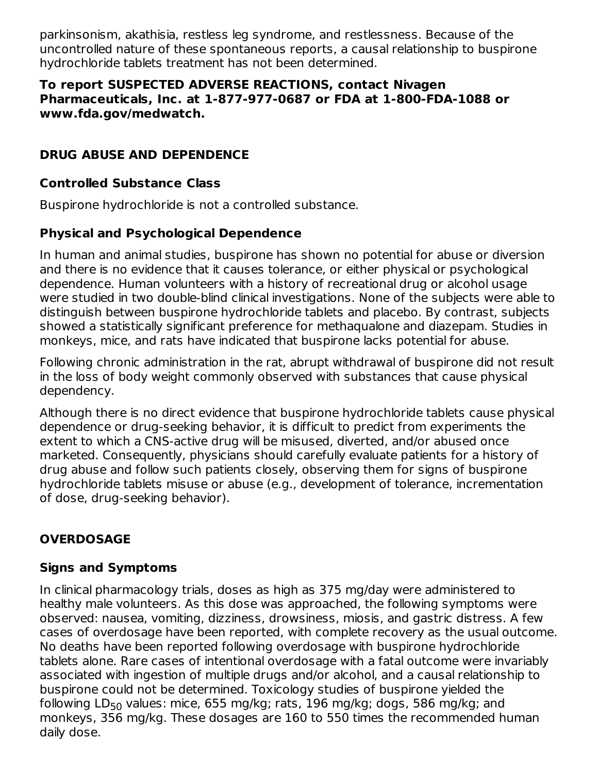parkinsonism, akathisia, restless leg syndrome, and restlessness. Because of the uncontrolled nature of these spontaneous reports, a causal relationship to buspirone hydrochloride tablets treatment has not been determined.

#### **To report SUSPECTED ADVERSE REACTIONS, contact Nivagen Pharmaceuticals, Inc. at 1-877-977-0687 or FDA at 1-800-FDA-1088 or www.fda.gov/medwatch.**

# **DRUG ABUSE AND DEPENDENCE**

# **Controlled Substance Class**

Buspirone hydrochloride is not a controlled substance.

# **Physical and Psychological Dependence**

In human and animal studies, buspirone has shown no potential for abuse or diversion and there is no evidence that it causes tolerance, or either physical or psychological dependence. Human volunteers with a history of recreational drug or alcohol usage were studied in two double-blind clinical investigations. None of the subjects were able to distinguish between buspirone hydrochloride tablets and placebo. By contrast, subjects showed a statistically significant preference for methaqualone and diazepam. Studies in monkeys, mice, and rats have indicated that buspirone lacks potential for abuse.

Following chronic administration in the rat, abrupt withdrawal of buspirone did not result in the loss of body weight commonly observed with substances that cause physical dependency.

Although there is no direct evidence that buspirone hydrochloride tablets cause physical dependence or drug-seeking behavior, it is difficult to predict from experiments the extent to which a CNS-active drug will be misused, diverted, and/or abused once marketed. Consequently, physicians should carefully evaluate patients for a history of drug abuse and follow such patients closely, observing them for signs of buspirone hydrochloride tablets misuse or abuse (e.g., development of tolerance, incrementation of dose, drug-seeking behavior).

# **OVERDOSAGE**

# **Signs and Symptoms**

In clinical pharmacology trials, doses as high as 375 mg/day were administered to healthy male volunteers. As this dose was approached, the following symptoms were observed: nausea, vomiting, dizziness, drowsiness, miosis, and gastric distress. A few cases of overdosage have been reported, with complete recovery as the usual outcome. No deaths have been reported following overdosage with buspirone hydrochloride tablets alone. Rare cases of intentional overdosage with a fatal outcome were invariably associated with ingestion of multiple drugs and/or alcohol, and a causal relationship to buspirone could not be determined. Toxicology studies of buspirone yielded the following LD $_{50}$  values: mice, 655 mg/kg; rats, 196 mg/kg; dogs, 586 mg/kg; and monkeys, 356 mg/kg. These dosages are 160 to 550 times the recommended human daily dose.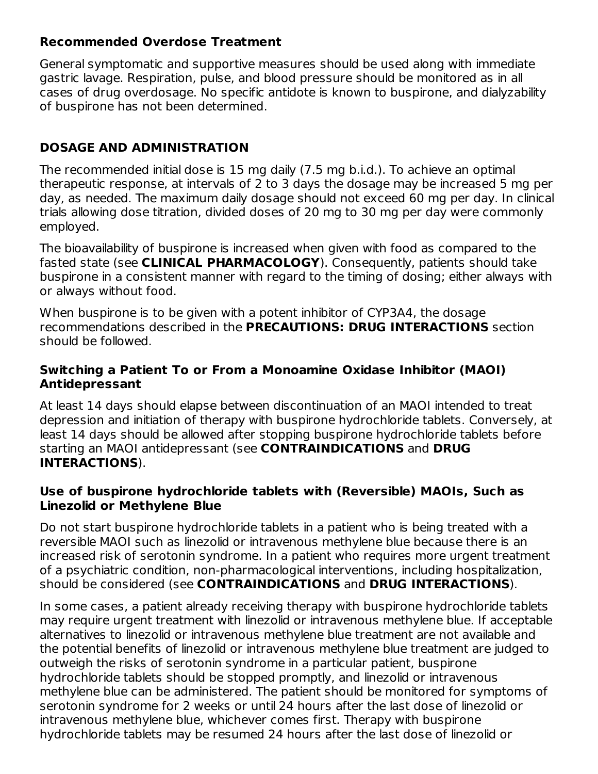### **Recommended Overdose Treatment**

General symptomatic and supportive measures should be used along with immediate gastric lavage. Respiration, pulse, and blood pressure should be monitored as in all cases of drug overdosage. No specific antidote is known to buspirone, and dialyzability of buspirone has not been determined.

# **DOSAGE AND ADMINISTRATION**

The recommended initial dose is 15 mg daily (7.5 mg b.i.d.). To achieve an optimal therapeutic response, at intervals of 2 to 3 days the dosage may be increased 5 mg per day, as needed. The maximum daily dosage should not exceed 60 mg per day. In clinical trials allowing dose titration, divided doses of 20 mg to 30 mg per day were commonly employed.

The bioavailability of buspirone is increased when given with food as compared to the fasted state (see **CLINICAL PHARMACOLOGY**). Consequently, patients should take buspirone in a consistent manner with regard to the timing of dosing; either always with or always without food.

When buspirone is to be given with a potent inhibitor of CYP3A4, the dosage recommendations described in the **PRECAUTIONS: DRUG INTERACTIONS** section should be followed.

### **Switching a Patient To or From a Monoamine Oxidase Inhibitor (MAOI) Antidepressant**

At least 14 days should elapse between discontinuation of an MAOI intended to treat depression and initiation of therapy with buspirone hydrochloride tablets. Conversely, at least 14 days should be allowed after stopping buspirone hydrochloride tablets before starting an MAOI antidepressant (see **CONTRAINDICATIONS** and **DRUG INTERACTIONS**).

### **Use of buspirone hydrochloride tablets with (Reversible) MAOIs, Such as Linezolid or Methylene Blue**

Do not start buspirone hydrochloride tablets in a patient who is being treated with a reversible MAOI such as linezolid or intravenous methylene blue because there is an increased risk of serotonin syndrome. In a patient who requires more urgent treatment of a psychiatric condition, non-pharmacological interventions, including hospitalization, should be considered (see **CONTRAINDICATIONS** and **DRUG INTERACTIONS**).

In some cases, a patient already receiving therapy with buspirone hydrochloride tablets may require urgent treatment with linezolid or intravenous methylene blue. If acceptable alternatives to linezolid or intravenous methylene blue treatment are not available and the potential benefits of linezolid or intravenous methylene blue treatment are judged to outweigh the risks of serotonin syndrome in a particular patient, buspirone hydrochloride tablets should be stopped promptly, and linezolid or intravenous methylene blue can be administered. The patient should be monitored for symptoms of serotonin syndrome for 2 weeks or until 24 hours after the last dose of linezolid or intravenous methylene blue, whichever comes first. Therapy with buspirone hydrochloride tablets may be resumed 24 hours after the last dose of linezolid or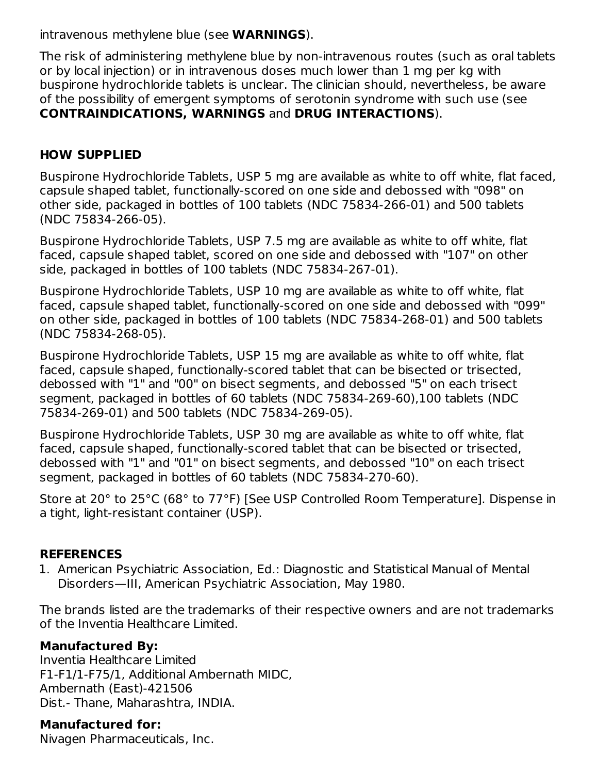intravenous methylene blue (see **WARNINGS**).

The risk of administering methylene blue by non-intravenous routes (such as oral tablets or by local injection) or in intravenous doses much lower than 1 mg per kg with buspirone hydrochloride tablets is unclear. The clinician should, nevertheless, be aware of the possibility of emergent symptoms of serotonin syndrome with such use (see **CONTRAINDICATIONS, WARNINGS** and **DRUG INTERACTIONS**).

# **HOW SUPPLIED**

Buspirone Hydrochloride Tablets, USP 5 mg are available as white to off white, flat faced, capsule shaped tablet, functionally-scored on one side and debossed with "098" on other side, packaged in bottles of 100 tablets (NDC 75834-266-01) and 500 tablets (NDC 75834-266-05).

Buspirone Hydrochloride Tablets, USP 7.5 mg are available as white to off white, flat faced, capsule shaped tablet, scored on one side and debossed with "107" on other side, packaged in bottles of 100 tablets (NDC 75834-267-01).

Buspirone Hydrochloride Tablets, USP 10 mg are available as white to off white, flat faced, capsule shaped tablet, functionally-scored on one side and debossed with "099" on other side, packaged in bottles of 100 tablets (NDC 75834-268-01) and 500 tablets (NDC 75834-268-05).

Buspirone Hydrochloride Tablets, USP 15 mg are available as white to off white, flat faced, capsule shaped, functionally-scored tablet that can be bisected or trisected, debossed with "1" and "00" on bisect segments, and debossed "5" on each trisect segment, packaged in bottles of 60 tablets (NDC 75834-269-60),100 tablets (NDC 75834-269-01) and 500 tablets (NDC 75834-269-05).

Buspirone Hydrochloride Tablets, USP 30 mg are available as white to off white, flat faced, capsule shaped, functionally-scored tablet that can be bisected or trisected, debossed with "1" and "01" on bisect segments, and debossed "10" on each trisect segment, packaged in bottles of 60 tablets (NDC 75834-270-60).

Store at 20° to 25°C (68° to 77°F) [See USP Controlled Room Temperature]. Dispense in a tight, light-resistant container (USP).

# **REFERENCES**

1. American Psychiatric Association, Ed.: Diagnostic and Statistical Manual of Mental Disorders—III, American Psychiatric Association, May 1980.

The brands listed are the trademarks of their respective owners and are not trademarks of the Inventia Healthcare Limited.

### **Manufactured By:**

Inventia Healthcare Limited F1-F1/1-F75/1, Additional Ambernath MIDC, Ambernath (East)-421506 Dist.- Thane, Maharashtra, INDIA.

### **Manufactured for:**

Nivagen Pharmaceuticals, Inc.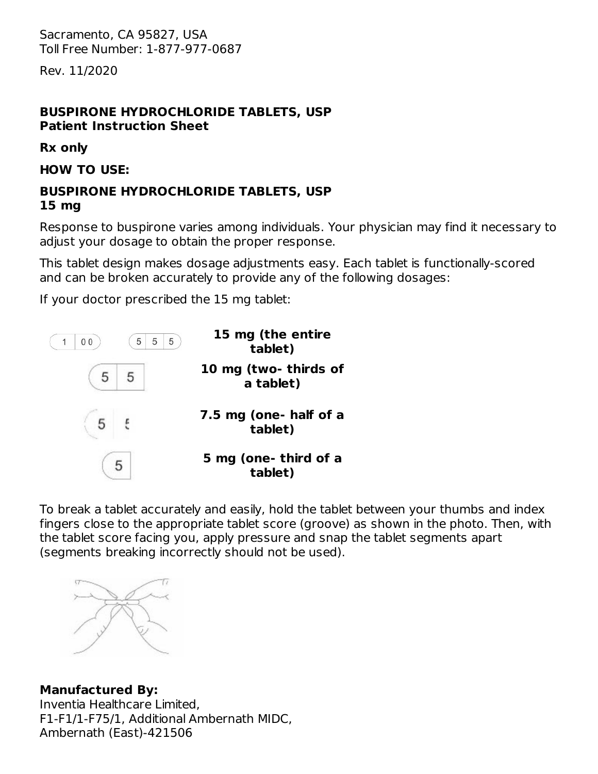Sacramento, CA 95827, USA Toll Free Number: 1-877-977-0687

Rev. 11/2020

#### **BUSPIRONE HYDROCHLORIDE TABLETS, USP Patient Instruction Sheet**

**Rx only**

**HOW TO USE:**

### **BUSPIRONE HYDROCHLORIDE TABLETS, USP 15 mg**

Response to buspirone varies among individuals. Your physician may find it necessary to adjust your dosage to obtain the proper response.

This tablet design makes dosage adjustments easy. Each tablet is functionally-scored and can be broken accurately to provide any of the following dosages:

If your doctor prescribed the 15 mg tablet:



To break a tablet accurately and easily, hold the tablet between your thumbs and index fingers close to the appropriate tablet score (groove) as shown in the photo. Then, with the tablet score facing you, apply pressure and snap the tablet segments apart (segments breaking incorrectly should not be used).



#### **Manufactured By:**

Inventia Healthcare Limited, F1-F1/1-F75/1, Additional Ambernath MIDC, Ambernath (East)-421506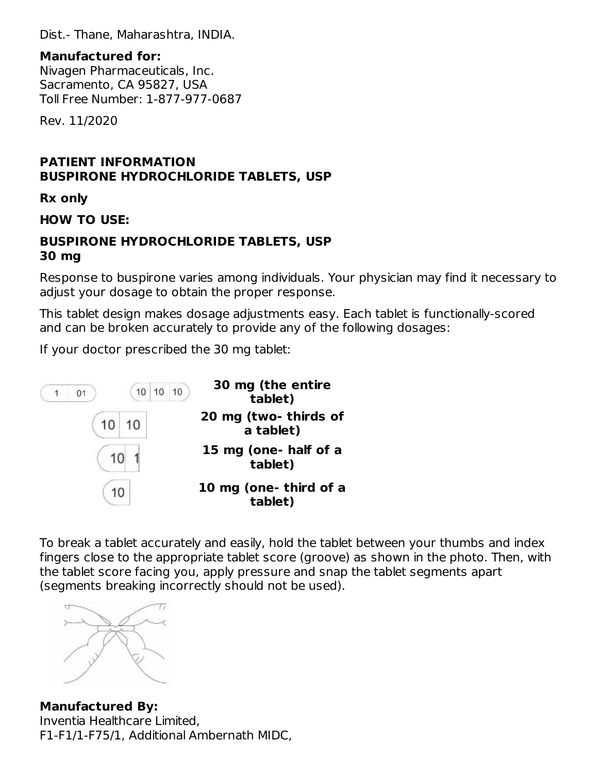Dist.- Thane, Maharashtra, INDIA.

### **Manufactured for:**

Nivagen Pharmaceuticals, Inc. Sacramento, CA 95827, USA Toll Free Number: 1-877-977-0687

Rev. 11/2020

## **PATIENT INFORMATION BUSPIRONE HYDROCHLORIDE TABLETS, USP**

**Rx only**

### **HOW TO USE:**

#### **BUSPIRONE HYDROCHLORIDE TABLETS, USP 30 mg**

Response to buspirone varies among individuals. Your physician may find it necessary to adjust your dosage to obtain the proper response.

This tablet design makes dosage adjustments easy. Each tablet is functionally-scored and can be broken accurately to provide any of the following dosages:

If your doctor prescribed the 30 mg tablet:



To break a tablet accurately and easily, hold the tablet between your thumbs and index fingers close to the appropriate tablet score (groove) as shown in the photo. Then, with the tablet score facing you, apply pressure and snap the tablet segments apart (segments breaking incorrectly should not be used).



**Manufactured By:** Inventia Healthcare Limited, F1-F1/1-F75/1, Additional Ambernath MIDC,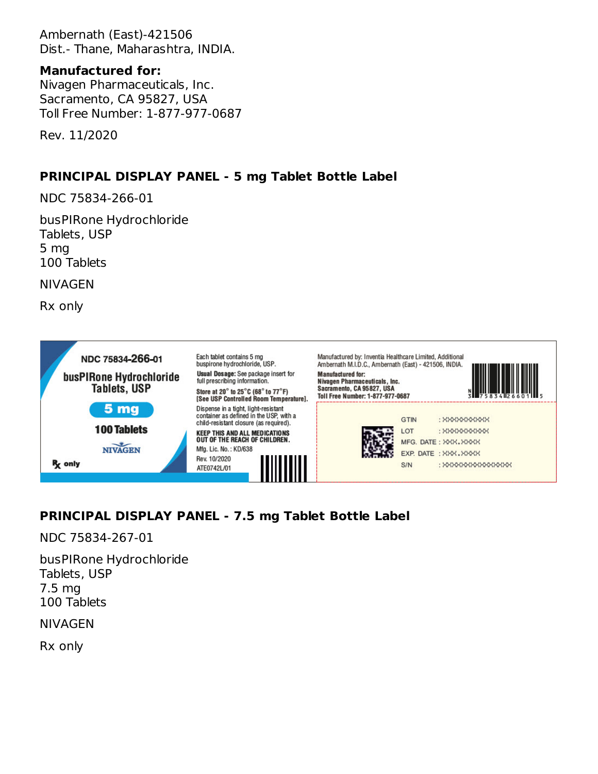Ambernath (East)-421506 Dist.- Thane, Maharashtra, INDIA.

### **Manufactured for:**

Nivagen Pharmaceuticals, Inc. Sacramento, CA 95827, USA Toll Free Number: 1-877-977-0687

Rev. 11/2020

## **PRINCIPAL DISPLAY PANEL - 5 mg Tablet Bottle Label**

NDC 75834-266-01

busPIRone Hydrochloride Tablets, USP 5 mg 100 Tablets

NIVAGEN

Rx only



# **PRINCIPAL DISPLAY PANEL - 7.5 mg Tablet Bottle Label**

NDC 75834-267-01

busPIRone Hydrochloride Tablets, USP 7.5 mg 100 Tablets

NIVAGEN

Rx only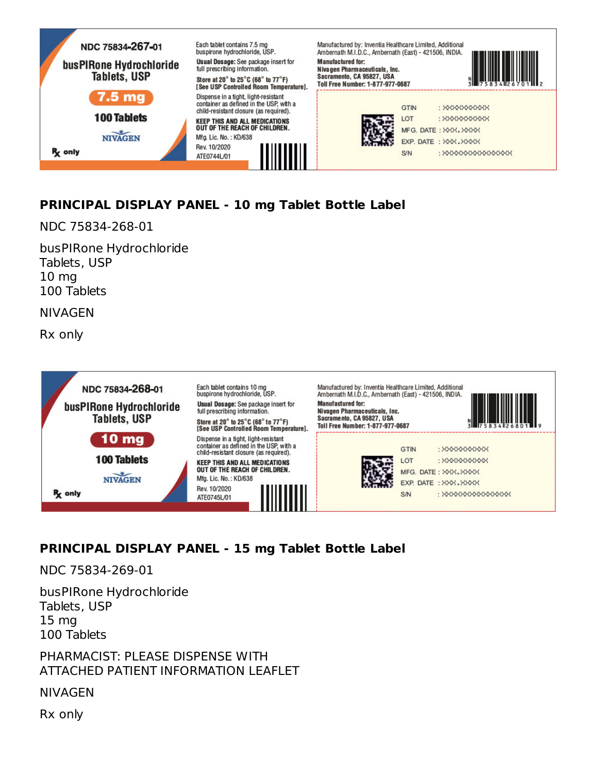

# **PRINCIPAL DISPLAY PANEL - 10 mg Tablet Bottle Label**

NDC 75834-268-01

busPIRone Hydrochloride Tablets, USP 10 mg 100 Tablets

NIVAGEN

Rx only



# **PRINCIPAL DISPLAY PANEL - 15 mg Tablet Bottle Label**

NDC 75834-269-01

busPIRone Hydrochloride Tablets, USP 15 mg 100 Tablets

PHARMACIST: PLEASE DISPENSE WITH ATTACHED PATIENT INFORMATION LEAFLET

NIVAGEN

Rx only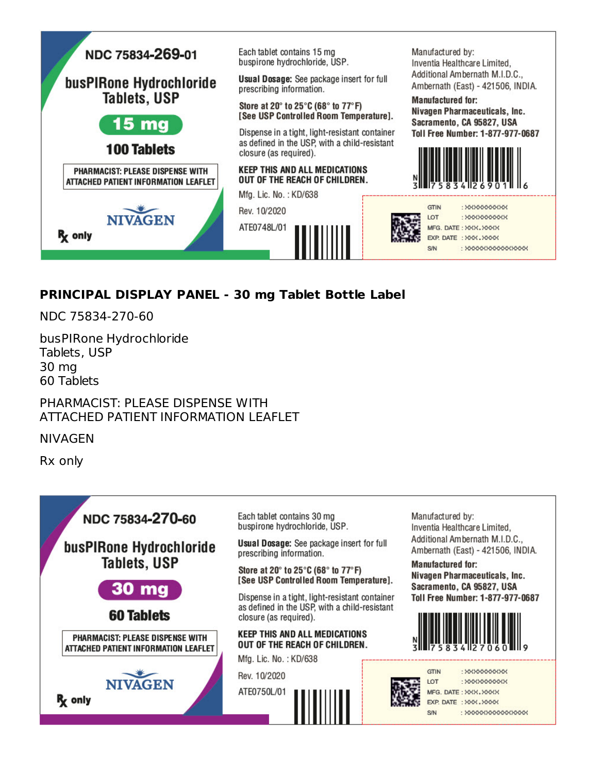

# **PRINCIPAL DISPLAY PANEL - 30 mg Tablet Bottle Label**

NDC 75834-270-60

busPIRone Hydrochloride Tablets, USP 30 mg 60 Tablets

PHARMACIST: PLEASE DISPENSE WITH ATTACHED PATIENT INFORMATION LEAFLET

NIVAGEN

Rx only



Inventia Healthcare Limited, Additional Ambernath M.I.D.C., Ambernath (East) - 421506, INDIA.

Nivagen Pharmaceuticals, Inc. Sacramento, CA 95827, USA Toll Free Number: 1-877-977-0687



: XXXXXXXXXX : XXXXXXXXXXX : XXXXXXXXXXXXXXXX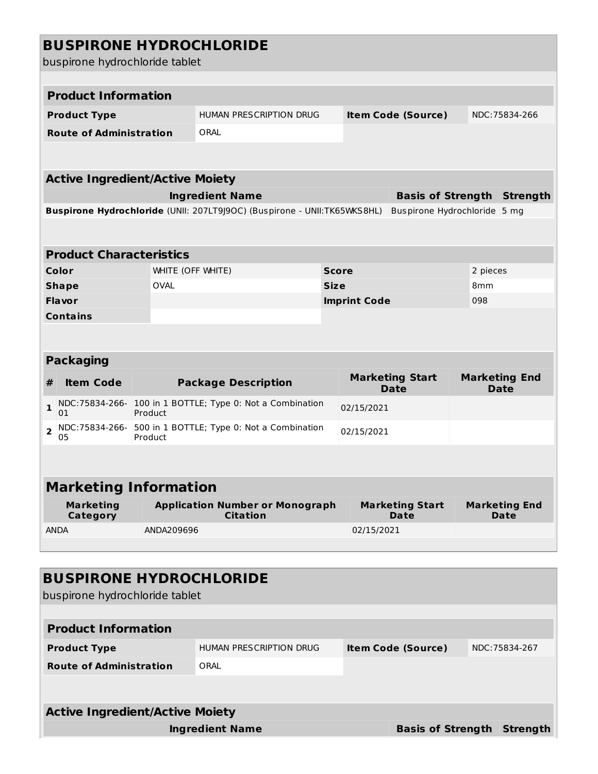| <b>BUSPIRONE HYDROCHLORIDE</b><br>buspirone hydrochloride tablet |                   |                                                                          |              |                           |                                       |                 |                                     |
|------------------------------------------------------------------|-------------------|--------------------------------------------------------------------------|--------------|---------------------------|---------------------------------------|-----------------|-------------------------------------|
| <b>Product Information</b>                                       |                   |                                                                          |              |                           |                                       |                 |                                     |
| <b>Product Type</b>                                              |                   | HUMAN PRESCRIPTION DRUG                                                  |              | <b>Item Code (Source)</b> |                                       |                 | NDC:75834-266                       |
| <b>Route of Administration</b>                                   |                   | ORAL                                                                     |              |                           |                                       |                 |                                     |
|                                                                  |                   |                                                                          |              |                           |                                       |                 |                                     |
| <b>Active Ingredient/Active Moiety</b>                           |                   |                                                                          |              |                           |                                       |                 |                                     |
|                                                                  |                   | <b>Ingredient Name</b>                                                   |              |                           |                                       |                 | <b>Basis of Strength Strength</b>   |
|                                                                  |                   | Buspirone Hydrochloride (UNII: 207LT9J9OC) (Buspirone - UNII:TK65WKS8HL) |              |                           | Buspirone Hydrochloride 5 mg          |                 |                                     |
| <b>Product Characteristics</b>                                   |                   |                                                                          |              |                           |                                       |                 |                                     |
| <b>Color</b>                                                     | WHITE (OFF WHITE) |                                                                          | <b>Score</b> |                           |                                       | 2 pieces        |                                     |
| <b>Shape</b>                                                     | <b>OVAL</b>       |                                                                          | <b>Size</b>  |                           |                                       | 8 <sub>mm</sub> |                                     |
| <b>Flavor</b>                                                    |                   |                                                                          |              | <b>Imprint Code</b>       |                                       | 098             |                                     |
| <b>Contains</b>                                                  |                   |                                                                          |              |                           |                                       |                 |                                     |
| <b>Packaging</b>                                                 |                   |                                                                          |              |                           |                                       |                 |                                     |
| <b>Item Code</b><br>#                                            |                   | <b>Package Description</b>                                               |              |                           | <b>Marketing Start</b><br><b>Date</b> |                 | <b>Marketing End</b><br><b>Date</b> |
| $\mathbf{1}$<br>01                                               | Product           | NDC:75834-266- 100 in 1 BOTTLE; Type 0: Not a Combination                |              | 02/15/2021                |                                       |                 |                                     |
| $\overline{\mathbf{2}}$<br>05                                    | Product           | NDC:75834-266- 500 in 1 BOTTLE; Type 0: Not a Combination                |              | 02/15/2021                |                                       |                 |                                     |
|                                                                  |                   |                                                                          |              |                           |                                       |                 |                                     |
| <b>Marketing Information</b>                                     |                   |                                                                          |              |                           |                                       |                 |                                     |
| <b>Marketing</b><br>Category                                     |                   | <b>Application Number or Monograph</b><br><b>Citation</b>                |              |                           | <b>Marketing Start</b><br>Date        |                 | <b>Marketing End</b><br>Date        |
| <b>ANDA</b>                                                      | ANDA209696        |                                                                          |              | 02/15/2021                |                                       |                 |                                     |
|                                                                  |                   |                                                                          |              |                           |                                       |                 |                                     |
| <b>BUSPIRONE HYDROCHLORIDE</b><br>buspirone hydrochloride tablet |                   |                                                                          |              |                           |                                       |                 |                                     |
| <b>Product Information</b>                                       |                   |                                                                          |              |                           |                                       |                 |                                     |
|                                                                  |                   |                                                                          |              |                           |                                       |                 |                                     |
| <b>Product Type</b>                                              |                   | HUMAN PRESCRIPTION DRUG                                                  |              |                           | <b>Item Code (Source)</b>             |                 | NDC: 75834-267                      |
| <b>Route of Administration</b>                                   |                   | ORAL                                                                     |              |                           |                                       |                 |                                     |
| <b>Active Ingredient/Active Moiety</b>                           |                   |                                                                          |              |                           |                                       |                 |                                     |
|                                                                  |                   | <b>Ingredient Name</b>                                                   |              |                           | <b>Basis of Strength Strength</b>     |                 |                                     |
|                                                                  |                   |                                                                          |              |                           |                                       |                 |                                     |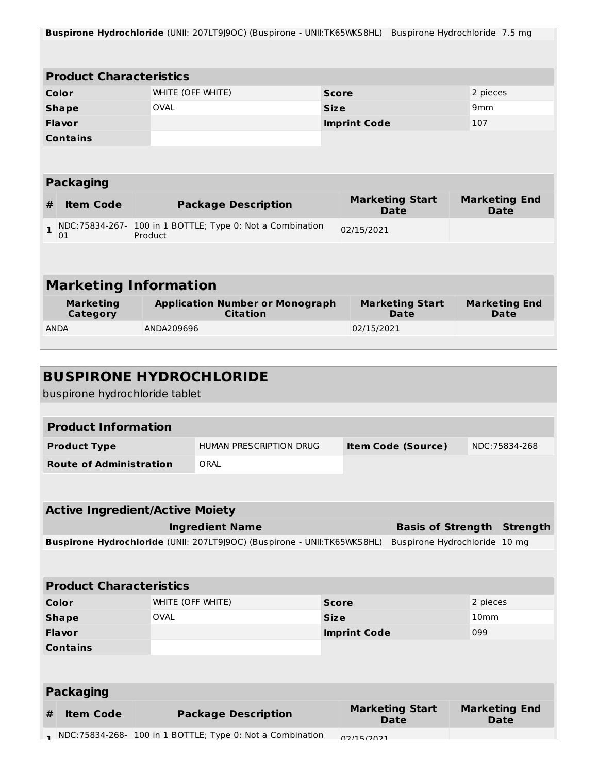| <b>Buspirone Hydrochloride</b> (UNII: 207LT9J9OC) (Buspirone - UNII:TK65WKS8HL) Buspirone Hydrochloride 7.5 mg |                                                                      |             |                     |                                       |                 |                                     |  |  |  |
|----------------------------------------------------------------------------------------------------------------|----------------------------------------------------------------------|-------------|---------------------|---------------------------------------|-----------------|-------------------------------------|--|--|--|
|                                                                                                                |                                                                      |             |                     |                                       |                 |                                     |  |  |  |
|                                                                                                                |                                                                      |             |                     |                                       |                 |                                     |  |  |  |
| <b>Product Characteristics</b>                                                                                 |                                                                      |             |                     |                                       |                 |                                     |  |  |  |
| Color                                                                                                          | WHITE (OFF WHITE)<br><b>Score</b>                                    |             |                     | 2 pieces                              |                 |                                     |  |  |  |
| <b>Shape</b>                                                                                                   | <b>OVAL</b>                                                          | <b>Size</b> |                     |                                       | 9 <sub>mm</sub> |                                     |  |  |  |
| <b>Flavor</b>                                                                                                  |                                                                      |             | <b>Imprint Code</b> |                                       | 107             |                                     |  |  |  |
| <b>Contains</b>                                                                                                |                                                                      |             |                     |                                       |                 |                                     |  |  |  |
|                                                                                                                |                                                                      |             |                     |                                       |                 |                                     |  |  |  |
|                                                                                                                |                                                                      |             |                     |                                       |                 |                                     |  |  |  |
| <b>Packaging</b>                                                                                               |                                                                      |             |                     |                                       |                 |                                     |  |  |  |
| <b>Item Code</b><br>#                                                                                          | <b>Package Description</b>                                           |             |                     | <b>Marketing Start</b><br><b>Date</b> |                 | <b>Marketing End</b><br><b>Date</b> |  |  |  |
| $\mathbf{1}$<br>01                                                                                             | NDC:75834-267- 100 in 1 BOTTLE; Type 0: Not a Combination<br>Product |             | 02/15/2021          |                                       |                 |                                     |  |  |  |
|                                                                                                                |                                                                      |             |                     |                                       |                 |                                     |  |  |  |
|                                                                                                                |                                                                      |             |                     |                                       |                 |                                     |  |  |  |
| <b>Marketing Information</b>                                                                                   |                                                                      |             |                     |                                       |                 |                                     |  |  |  |
| <b>Marketing</b><br>Category                                                                                   | <b>Application Number or Monograph</b><br><b>Citation</b>            |             |                     | <b>Marketing Start</b><br><b>Date</b> |                 | <b>Marketing End</b><br><b>Date</b> |  |  |  |
| <b>ANDA</b>                                                                                                    | ANDA209696                                                           |             | 02/15/2021          |                                       |                 |                                     |  |  |  |
|                                                                                                                |                                                                      |             |                     |                                       |                 |                                     |  |  |  |
|                                                                                                                |                                                                      |             |                     |                                       |                 |                                     |  |  |  |

|       | <b>BUSPIRONE HYDROCHLORIDE</b><br>buspirone hydrochloride tablet         |                   |                                                           |                     |            |                                       |                  |                                     |  |
|-------|--------------------------------------------------------------------------|-------------------|-----------------------------------------------------------|---------------------|------------|---------------------------------------|------------------|-------------------------------------|--|
|       | <b>Product Information</b>                                               |                   |                                                           |                     |            |                                       |                  |                                     |  |
|       | <b>Product Type</b>                                                      |                   | <b>HUMAN PRESCRIPTION DRUG</b>                            |                     |            | <b>Item Code (Source)</b>             |                  | NDC: 75834-268                      |  |
|       | <b>Route of Administration</b>                                           |                   | ORAL                                                      |                     |            |                                       |                  |                                     |  |
|       |                                                                          |                   |                                                           |                     |            |                                       |                  |                                     |  |
|       | <b>Active Ingredient/Active Moiety</b>                                   |                   |                                                           |                     |            |                                       |                  |                                     |  |
|       | <b>Ingredient Name</b><br><b>Basis of Strength</b>                       |                   |                                                           |                     |            |                                       |                  | <b>Strength</b>                     |  |
|       | Buspirone Hydrochloride (UNII: 207LT9J9OC) (Buspirone - UNII:TK65WKS8HL) |                   |                                                           |                     |            | Buspirone Hydrochloride 10 mg         |                  |                                     |  |
|       |                                                                          |                   |                                                           |                     |            |                                       |                  |                                     |  |
|       | <b>Product Characteristics</b>                                           |                   |                                                           |                     |            |                                       |                  |                                     |  |
| Color |                                                                          | WHITE (OFF WHITE) |                                                           | <b>Score</b>        |            |                                       | 2 pieces         |                                     |  |
|       | <b>Shape</b>                                                             | <b>OVAL</b>       |                                                           | <b>Size</b>         |            |                                       | 10 <sub>mm</sub> |                                     |  |
|       | Flavor                                                                   |                   |                                                           | <b>Imprint Code</b> |            | 099                                   |                  |                                     |  |
|       | <b>Contains</b>                                                          |                   |                                                           |                     |            |                                       |                  |                                     |  |
|       |                                                                          |                   |                                                           |                     |            |                                       |                  |                                     |  |
|       | <b>Packaging</b>                                                         |                   |                                                           |                     |            |                                       |                  |                                     |  |
| #     | <b>Item Code</b>                                                         |                   | <b>Package Description</b>                                |                     |            | <b>Marketing Start</b><br><b>Date</b> |                  | <b>Marketing End</b><br><b>Date</b> |  |
|       |                                                                          |                   | NDC:75834-268- 100 in 1 BOTTLE; Type 0: Not a Combination |                     | 02/15/2021 |                                       |                  |                                     |  |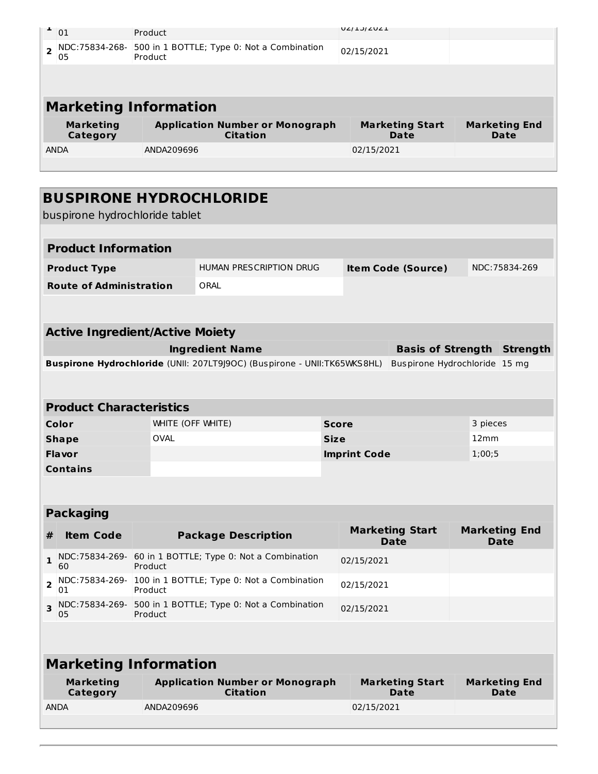| 01                           | Product                                                   | UZIJIZUZI                      |                              |  |  |  |  |
|------------------------------|-----------------------------------------------------------|--------------------------------|------------------------------|--|--|--|--|
| NDC:75834-268-<br>05         | 500 in 1 BOTTLE; Type 0: Not a Combination<br>Product     | 02/15/2021                     |                              |  |  |  |  |
|                              |                                                           |                                |                              |  |  |  |  |
| <b>Marketing Information</b> |                                                           |                                |                              |  |  |  |  |
|                              |                                                           |                                |                              |  |  |  |  |
| <b>Marketing</b><br>Category | <b>Application Number or Monograph</b><br><b>Citation</b> | <b>Marketing Start</b><br>Date | <b>Marketing End</b><br>Date |  |  |  |  |
| ANDA                         | ANDA209696                                                | 02/15/2021                     |                              |  |  |  |  |

|                                                                          | <b>BUSPIRONE HYDROCHLORIDE</b><br>buspirone hydrochloride tablet |                   |                                                           |                     |            |                                       |        |               |                              |
|--------------------------------------------------------------------------|------------------------------------------------------------------|-------------------|-----------------------------------------------------------|---------------------|------------|---------------------------------------|--------|---------------|------------------------------|
|                                                                          |                                                                  |                   |                                                           |                     |            |                                       |        |               |                              |
|                                                                          | <b>Product Information</b>                                       |                   |                                                           |                     |            |                                       |        |               |                              |
| <b>Product Type</b>                                                      |                                                                  |                   | HUMAN PRESCRIPTION DRUG                                   |                     |            | <b>Item Code (Source)</b>             |        | NDC:75834-269 |                              |
|                                                                          | <b>Route of Administration</b>                                   |                   | ORAL                                                      |                     |            |                                       |        |               |                              |
|                                                                          |                                                                  |                   |                                                           |                     |            |                                       |        |               |                              |
|                                                                          | <b>Active Ingredient/Active Moiety</b>                           |                   |                                                           |                     |            |                                       |        |               |                              |
| <b>Ingredient Name</b><br><b>Basis of Strength</b>                       |                                                                  |                   |                                                           |                     |            | <b>Strength</b>                       |        |               |                              |
| Buspirone Hydrochloride (UNII: 207LT9J9OC) (Buspirone - UNII:TK65WKS8HL) |                                                                  |                   |                                                           |                     |            | Buspirone Hydrochloride 15 mg         |        |               |                              |
|                                                                          |                                                                  |                   |                                                           |                     |            |                                       |        |               |                              |
|                                                                          | <b>Product Characteristics</b>                                   |                   |                                                           |                     |            |                                       |        |               |                              |
|                                                                          | Color                                                            | WHITE (OFF WHITE) | <b>Score</b>                                              |                     | 3 pieces   |                                       |        |               |                              |
|                                                                          | <b>Shape</b>                                                     | <b>OVAL</b>       |                                                           | <b>Size</b>         |            |                                       | 12mm   |               |                              |
|                                                                          | Flavor                                                           |                   |                                                           | <b>Imprint Code</b> |            |                                       | 1;00;5 |               |                              |
|                                                                          | <b>Contains</b>                                                  |                   |                                                           |                     |            |                                       |        |               |                              |
|                                                                          |                                                                  |                   |                                                           |                     |            |                                       |        |               |                              |
|                                                                          | <b>Packaging</b>                                                 |                   |                                                           |                     |            |                                       |        |               |                              |
| #                                                                        | <b>Item Code</b>                                                 |                   | <b>Package Description</b>                                |                     |            | <b>Marketing Start</b><br><b>Date</b> |        |               | <b>Marketing End</b><br>Date |
| $\mathbf{1}$                                                             | 60                                                               | Product           | NDC:75834-269- 60 in 1 BOTTLE; Type 0: Not a Combination  |                     | 02/15/2021 |                                       |        |               |                              |
| $\overline{2}$                                                           | NDC: 75834-269-<br>01                                            | Product           | 100 in 1 BOTTLE; Type 0: Not a Combination                | 02/15/2021          |            |                                       |        |               |                              |
| 3                                                                        | 05                                                               | Product           | NDC:75834-269- 500 in 1 BOTTLE; Type 0: Not a Combination |                     | 02/15/2021 |                                       |        |               |                              |
|                                                                          |                                                                  |                   |                                                           |                     |            |                                       |        |               |                              |
|                                                                          |                                                                  |                   |                                                           |                     |            |                                       |        |               |                              |

# **Marketing Information**

| Marketing<br>Category | <b>Application Number or Monograph</b><br>Citation | <b>Marketing Start</b><br>Date | <b>Marketing End</b><br><b>Date</b> |
|-----------------------|----------------------------------------------------|--------------------------------|-------------------------------------|
| <b>ANDA</b>           | ANDA209696                                         | 02/15/2021                     |                                     |
|                       |                                                    |                                |                                     |